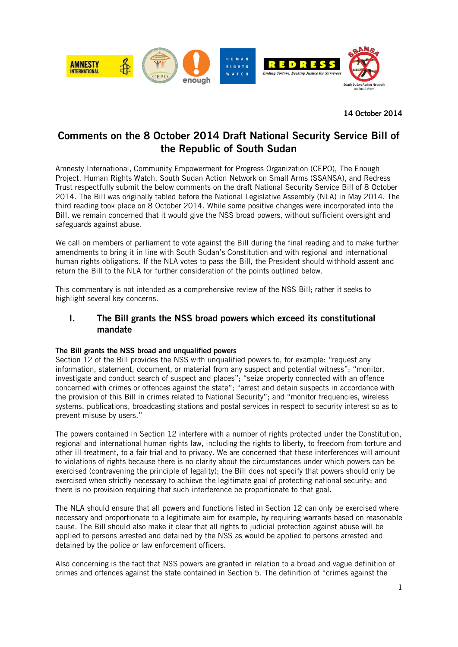

**14 October 2014**

# **Comments on the 8 October 2014 Draft National Security Service Bill of the Republic of South Sudan**

Amnesty International, Community Empowerment for Progress Organization (CEPO), The Enough Project, Human Rights Watch, South Sudan Action Network on Small Arms (SSANSA), and Redress Trust respectfully submit the below comments on the draft National Security Service Bill of 8 October 2014. The Bill was originally tabled before the National Legislative Assembly (NLA) in May 2014. The third reading took place on 8 October 2014. While some positive changes were incorporated into the Bill, we remain concerned that it would give the NSS broad powers, without sufficient oversight and safeguards against abuse.

We call on members of parliament to vote against the Bill during the final reading and to make further amendments to bring it in line with South Sudan's Constitution and with regional and international human rights obligations. If the NLA votes to pass the Bill, the President should withhold assent and return the Bill to the NLA for further consideration of the points outlined below.

This commentary is not intended as a comprehensive review of the NSS Bill; rather it seeks to highlight several key concerns.

# **I. The Bill grants the NSS broad powers which exceed its constitutional mandate**

## **The Bill grants the NSS broad and unqualified powers**

Section 12 of the Bill provides the NSS with unqualified powers to, for example: "request any information, statement, document, or material from any suspect and potential witness"; "monitor, investigate and conduct search of suspect and places"; "seize property connected with an offence concerned with crimes or offences against the state"; "arrest and detain suspects in accordance with the provision of this Bill in crimes related to National Security"; and "monitor frequencies, wireless systems, publications, broadcasting stations and postal services in respect to security interest so as to prevent misuse by users."

The powers contained in Section 12 interfere with a number of rights protected under the Constitution, regional and international human rights law, including the rights to liberty, to freedom from torture and other ill-treatment, to a fair trial and to privacy. We are concerned that these interferences will amount to violations of rights because there is no clarity about the circumstances under which powers can be exercised (contravening the principle of legality); the Bill does not specify that powers should only be exercised when strictly necessary to achieve the legitimate goal of protecting national security; and there is no provision requiring that such interference be proportionate to that goal.

The NLA should ensure that all powers and functions listed in Section 12 can only be exercised where necessary and proportionate to a legitimate aim for example, by requiring warrants based on reasonable cause. The Bill should also make it clear that all rights to judicial protection against abuse will be applied to persons arrested and detained by the NSS as would be applied to persons arrested and detained by the police or law enforcement officers.

Also concerning is the fact that NSS powers are granted in relation to a broad and vague definition of crimes and offences against the state contained in Section 5. The definition of "crimes against the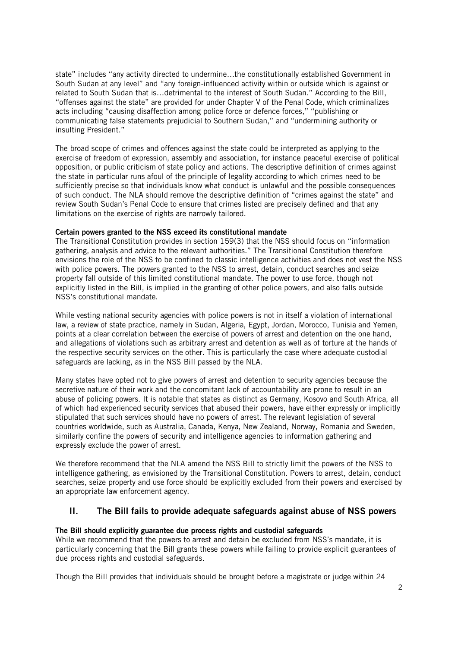state" includes "any activity directed to undermine…the constitutionally established Government in South Sudan at any level" and "any foreign-influenced activity within or outside which is against or related to South Sudan that is…detrimental to the interest of South Sudan." According to the Bill, "offenses against the state" are provided for under Chapter V of the Penal Code, which criminalizes acts including "causing disaffection among police force or defence forces," "publishing or communicating false statements prejudicial to Southern Sudan," and "undermining authority or insulting President."

The broad scope of crimes and offences against the state could be interpreted as applying to the exercise of freedom of expression, assembly and association, for instance peaceful exercise of political opposition, or public criticism of state policy and actions. The descriptive definition of crimes against the state in particular runs afoul of the principle of legality according to which crimes need to be sufficiently precise so that individuals know what conduct is unlawful and the possible consequences of such conduct. The NLA should remove the descriptive definition of "crimes against the state" and review South Sudan's Penal Code to ensure that crimes listed are precisely defined and that any limitations on the exercise of rights are narrowly tailored.

## **Certain powers granted to the NSS exceed its constitutional mandate**

The Transitional Constitution provides in section 159(3) that the NSS should focus on "information gathering, analysis and advice to the relevant authorities." The Transitional Constitution therefore envisions the role of the NSS to be confined to classic intelligence activities and does not vest the NSS with police powers. The powers granted to the NSS to arrest, detain, conduct searches and seize property fall outside of this limited constitutional mandate. The power to use force, though not explicitly listed in the Bill, is implied in the granting of other police powers, and also falls outside NSS's constitutional mandate.

While vesting national security agencies with police powers is not in itself a violation of international law, a review of state practice, namely in Sudan, Algeria, Egypt, Jordan, Morocco, Tunisia and Yemen, points at a clear correlation between the exercise of powers of arrest and detention on the one hand, and allegations of violations such as arbitrary arrest and detention as well as of torture at the hands of the respective security services on the other. This is particularly the case where adequate custodial safeguards are lacking, as in the NSS Bill passed by the NLA.

Many states have opted not to give powers of arrest and detention to security agencies because the secretive nature of their work and the concomitant lack of accountability are prone to result in an abuse of policing powers. It is notable that states as distinct as Germany, Kosovo and South Africa, all of which had experienced security services that abused their powers, have either expressly or implicitly stipulated that such services should have no powers of arrest. The relevant legislation of several countries worldwide, such as Australia, Canada, Kenya, New Zealand, Norway, Romania and Sweden, similarly confine the powers of security and intelligence agencies to information gathering and expressly exclude the power of arrest.

We therefore recommend that the NLA amend the NSS Bill to strictly limit the powers of the NSS to intelligence gathering, as envisioned by the Transitional Constitution. Powers to arrest, detain, conduct searches, seize property and use force should be explicitly excluded from their powers and exercised by an appropriate law enforcement agency.

# **II. The Bill fails to provide adequate safeguards against abuse of NSS powers**

## **The Bill should explicitly guarantee due process rights and custodial safeguards**

While we recommend that the powers to arrest and detain be excluded from NSS's mandate, it is particularly concerning that the Bill grants these powers while failing to provide explicit guarantees of due process rights and custodial safeguards.

Though the Bill provides that individuals should be brought before a magistrate or judge within 24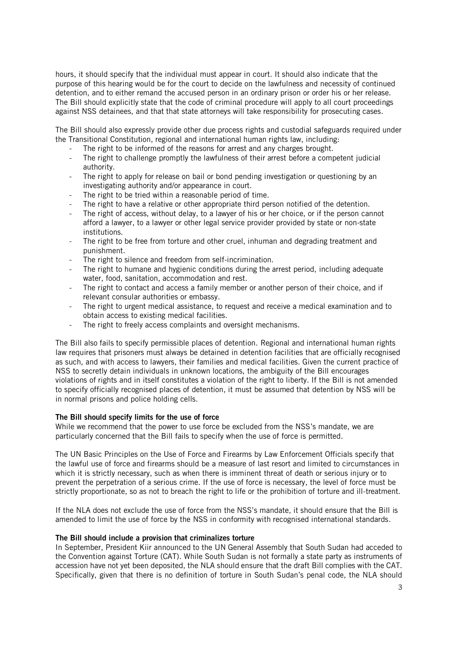hours, it should specify that the individual must appear in court. It should also indicate that the purpose of this hearing would be for the court to decide on the lawfulness and necessity of continued detention, and to either remand the accused person in an ordinary prison or order his or her release. The Bill should explicitly state that the code of criminal procedure will apply to all court proceedings against NSS detainees, and that that state attorneys will take responsibility for prosecuting cases.

The Bill should also expressly provide other due process rights and custodial safeguards required under the Transitional Constitution, regional and international human rights law, including:

- The right to be informed of the reasons for arrest and any charges brought.
- The right to challenge promptly the lawfulness of their arrest before a competent judicial authority.
- The right to apply for release on bail or bond pending investigation or questioning by an investigating authority and/or appearance in court.
- The right to be tried within a reasonable period of time.
- The right to have a relative or other appropriate third person notified of the detention.
- The right of access, without delay, to a lawyer of his or her choice, or if the person cannot afford a lawyer, to a lawyer or other legal service provider provided by state or non-state institutions.
- The right to be free from torture and other cruel, inhuman and degrading treatment and punishment.
- The right to silence and freedom from self-incrimination.
- The right to humane and hygienic conditions during the arrest period, including adequate water, food, sanitation, accommodation and rest.
- The right to contact and access a family member or another person of their choice, and if relevant consular authorities or embassy.
- The right to urgent medical assistance, to request and receive a medical examination and to obtain access to existing medical facilities.
- The right to freely access complaints and oversight mechanisms.

The Bill also fails to specify permissible places of detention. Regional and international human rights law requires that prisoners must always be detained in detention facilities that are officially recognised as such, and with access to lawyers, their families and medical facilities. Given the current practice of NSS to secretly detain individuals in unknown locations, the ambiguity of the Bill encourages violations of rights and in itself constitutes a violation of the right to liberty. If the Bill is not amended to specify officially recognised places of detention, it must be assumed that detention by NSS will be in normal prisons and police holding cells.

#### **The Bill should specify limits for the use of force**

While we recommend that the power to use force be excluded from the NSS's mandate, we are particularly concerned that the Bill fails to specify when the use of force is permitted.

The UN Basic Principles on the Use of Force and Firearms by Law Enforcement Officials specify that the lawful use of force and firearms should be a measure of last resort and limited to circumstances in which it is strictly necessary, such as when there is imminent threat of death or serious injury or to prevent the perpetration of a serious crime. If the use of force is necessary, the level of force must be strictly proportionate, so as not to breach the right to life or the prohibition of torture and ill-treatment.

If the NLA does not exclude the use of force from the NSS's mandate, it should ensure that the Bill is amended to limit the use of force by the NSS in conformity with recognised international standards.

#### **The Bill should include a provision that criminalizes torture**

In September, President Kiir announced to the UN General Assembly that South Sudan had acceded to the Convention against Torture (CAT). While South Sudan is not formally a state party as instruments of accession have not yet been deposited, the NLA should ensure that the draft Bill complies with the CAT. Specifically, given that there is no definition of torture in South Sudan's penal code, the NLA should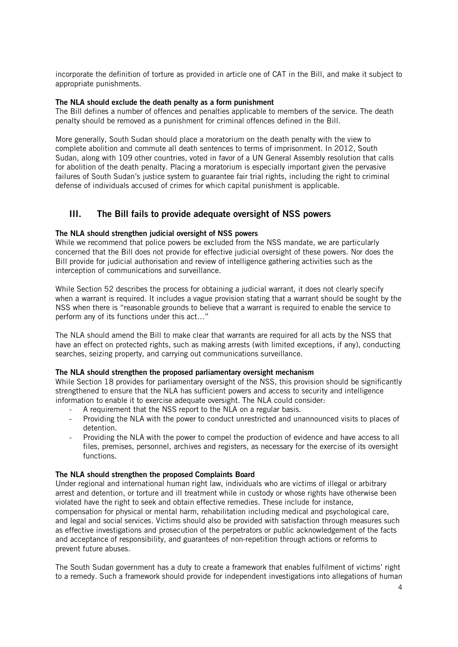incorporate the definition of torture as provided in article one of CAT in the Bill, and make it subject to appropriate punishments.

### **The NLA should exclude the death penalty as a form punishment**

The Bill defines a number of offences and penalties applicable to members of the service. The death penalty should be removed as a punishment for criminal offences defined in the Bill.

More generally, South Sudan should place a moratorium on the death penalty with the view to complete abolition and commute all death sentences to terms of imprisonment. In 2012, South Sudan, along with 109 other countries, voted in favor of a UN General Assembly resolution that calls for abolition of the death penalty. Placing a moratorium is especially important given the pervasive failures of South Sudan's justice system to guarantee fair trial rights, including the right to criminal defense of individuals accused of crimes for which capital punishment is applicable.

# **III. The Bill fails to provide adequate oversight of NSS powers**

### **The NLA should strengthen judicial oversight of NSS powers**

While we recommend that police powers be excluded from the NSS mandate, we are particularly concerned that the Bill does not provide for effective judicial oversight of these powers. Nor does the Bill provide for judicial authorisation and review of intelligence gathering activities such as the interception of communications and surveillance.

While Section 52 describes the process for obtaining a judicial warrant, it does not clearly specify when a warrant is required. It includes a vague provision stating that a warrant should be sought by the NSS when there is "reasonable grounds to believe that a warrant is required to enable the service to perform any of its functions under this act…"

The NLA should amend the Bill to make clear that warrants are required for all acts by the NSS that have an effect on protected rights, such as making arrests (with limited exceptions, if any), conducting searches, seizing property, and carrying out communications surveillance.

#### **The NLA should strengthen the proposed parliamentary oversight mechanism**

While Section 18 provides for parliamentary oversight of the NSS, this provision should be significantly strengthened to ensure that the NLA has sufficient powers and access to security and intelligence information to enable it to exercise adequate oversight. The NLA could consider:

- A requirement that the NSS report to the NLA on a regular basis.
- Providing the NLA with the power to conduct unrestricted and unannounced visits to places of detention.
- Providing the NLA with the power to compel the production of evidence and have access to all files, premises, personnel, archives and registers, as necessary for the exercise of its oversight functions.

#### **The NLA should strengthen the proposed Complaints Board**

Under regional and international human right law, individuals who are victims of illegal or arbitrary arrest and detention, or torture and ill treatment while in custody or whose rights have otherwise been violated have the right to seek and obtain effective remedies. These include for instance, compensation for physical or mental harm, rehabilitation including medical and psychological care, and legal and social services. Victims should also be provided with satisfaction through measures such as effective investigations and prosecution of the perpetrators or public acknowledgement of the facts and acceptance of responsibility, and guarantees of non-repetition through actions or reforms to prevent future abuses.

The South Sudan government has a duty to create a framework that enables fulfilment of victims' right to a remedy. Such a framework should provide for independent investigations into allegations of human